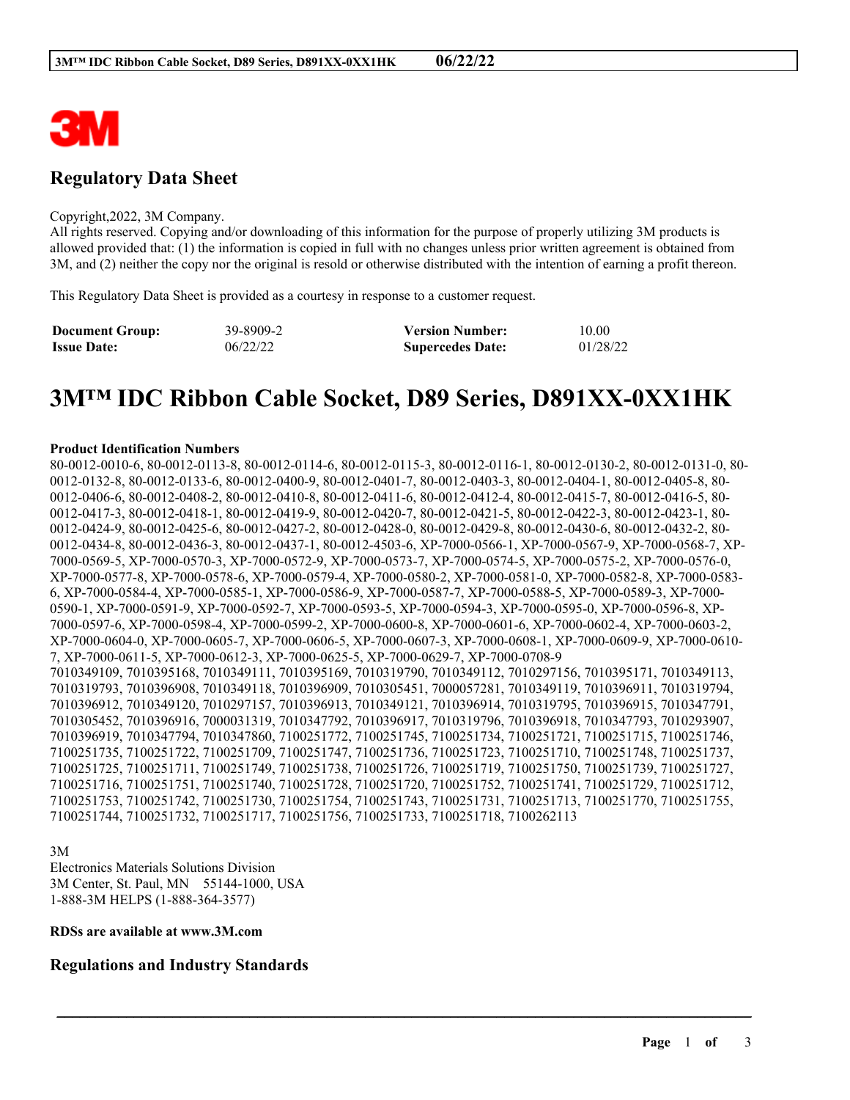

# **Regulatory Data Sheet**

#### Copyright,2022, 3M Company.

All rights reserved. Copying and/or downloading of this information for the purpose of properly utilizing 3M products is allowed provided that: (1) the information is copied in full with no changes unless prior written agreement is obtained from 3M, and (2) neither the copy nor the original is resold or otherwise distributed with the intention of earning a profit thereon.

This Regulatory Data Sheet is provided as a courtesy in response to a customer request.

| <b>Document Group:</b> | 39-8909-2 | <b>Version Number:</b>  | 10.00    |
|------------------------|-----------|-------------------------|----------|
| <b>Issue Date:</b>     | 06/22/22  | <b>Supercedes Date:</b> | 01/28/22 |

# **3M™ IDC Ribbon Cable Socket, D89 Series, D891XX-0XX1HK**

#### **Product Identification Numbers**

80-0012-0010-6, 80-0012-0113-8, 80-0012-0114-6, 80-0012-0115-3, 80-0012-0116-1, 80-0012-0130-2, 80-0012-0131-0, 80- 0012-0132-8, 80-0012-0133-6, 80-0012-0400-9, 80-0012-0401-7, 80-0012-0403-3, 80-0012-0404-1, 80-0012-0405-8, 80- 0012-0406-6, 80-0012-0408-2, 80-0012-0410-8, 80-0012-0411-6, 80-0012-0412-4, 80-0012-0415-7, 80-0012-0416-5, 80- 0012-0417-3, 80-0012-0418-1, 80-0012-0419-9, 80-0012-0420-7, 80-0012-0421-5, 80-0012-0422-3, 80-0012-0423-1, 80- 0012-0424-9, 80-0012-0425-6, 80-0012-0427-2, 80-0012-0428-0, 80-0012-0429-8, 80-0012-0430-6, 80-0012-0432-2, 80- 0012-0434-8, 80-0012-0436-3, 80-0012-0437-1, 80-0012-4503-6, XP-7000-0566-1, XP-7000-0567-9, XP-7000-0568-7, XP-7000-0569-5, XP-7000-0570-3, XP-7000-0572-9, XP-7000-0573-7, XP-7000-0574-5, XP-7000-0575-2, XP-7000-0576-0, XP-7000-0577-8, XP-7000-0578-6, XP-7000-0579-4, XP-7000-0580-2, XP-7000-0581-0, XP-7000-0582-8, XP-7000-0583- 6, XP-7000-0584-4, XP-7000-0585-1, XP-7000-0586-9, XP-7000-0587-7, XP-7000-0588-5, XP-7000-0589-3, XP-7000- 0590-1, XP-7000-0591-9, XP-7000-0592-7, XP-7000-0593-5, XP-7000-0594-3, XP-7000-0595-0, XP-7000-0596-8, XP-7000-0597-6, XP-7000-0598-4, XP-7000-0599-2, XP-7000-0600-8, XP-7000-0601-6, XP-7000-0602-4, XP-7000-0603-2, XP-7000-0604-0, XP-7000-0605-7, XP-7000-0606-5, XP-7000-0607-3, XP-7000-0608-1, XP-7000-0609-9, XP-7000-0610- 7, XP-7000-0611-5, XP-7000-0612-3, XP-7000-0625-5, XP-7000-0629-7, XP-7000-0708-9 7010349109, 7010395168, 7010349111, 7010395169, 7010319790, 7010349112, 7010297156, 7010395171, 7010349113, 7010319793, 7010396908, 7010349118, 7010396909, 7010305451, 7000057281, 7010349119, 7010396911, 7010319794, 7010396912, 7010349120, 7010297157, 7010396913, 7010349121, 7010396914, 7010319795, 7010396915, 7010347791, 7010305452, 7010396916, 7000031319, 7010347792, 7010396917, 7010319796, 7010396918, 7010347793, 7010293907, 7010396919, 7010347794, 7010347860, 7100251772, 7100251745, 7100251734, 7100251721, 7100251715, 7100251746, 7100251735, 7100251722, 7100251709, 7100251747, 7100251736, 7100251723, 7100251710, 7100251748, 7100251737, 7100251725, 7100251711, 7100251749, 7100251738, 7100251726, 7100251719, 7100251750, 7100251739, 7100251727, 7100251716, 7100251751, 7100251740, 7100251728, 7100251720, 7100251752, 7100251741, 7100251729, 7100251712, 7100251753, 7100251742, 7100251730, 7100251754, 7100251743, 7100251731, 7100251713, 7100251770, 7100251755, 7100251744, 7100251732, 7100251717, 7100251756, 7100251733, 7100251718, 7100262113

\_\_\_\_\_\_\_\_\_\_\_\_\_\_\_\_\_\_\_\_\_\_\_\_\_\_\_\_\_\_\_\_\_\_\_\_\_\_\_\_\_\_\_\_\_\_\_\_\_\_\_\_\_\_\_\_\_\_\_\_\_\_\_\_\_\_\_\_\_\_\_\_\_\_\_\_\_\_\_\_\_\_\_\_\_\_\_\_\_\_

3M

Electronics Materials Solutions Division 3M Center, St. Paul, MN 55144-1000, USA 1-888-3M HELPS (1-888-364-3577)

#### **RDSs are available at www.3M.com**

## **Regulations and Industry Standards**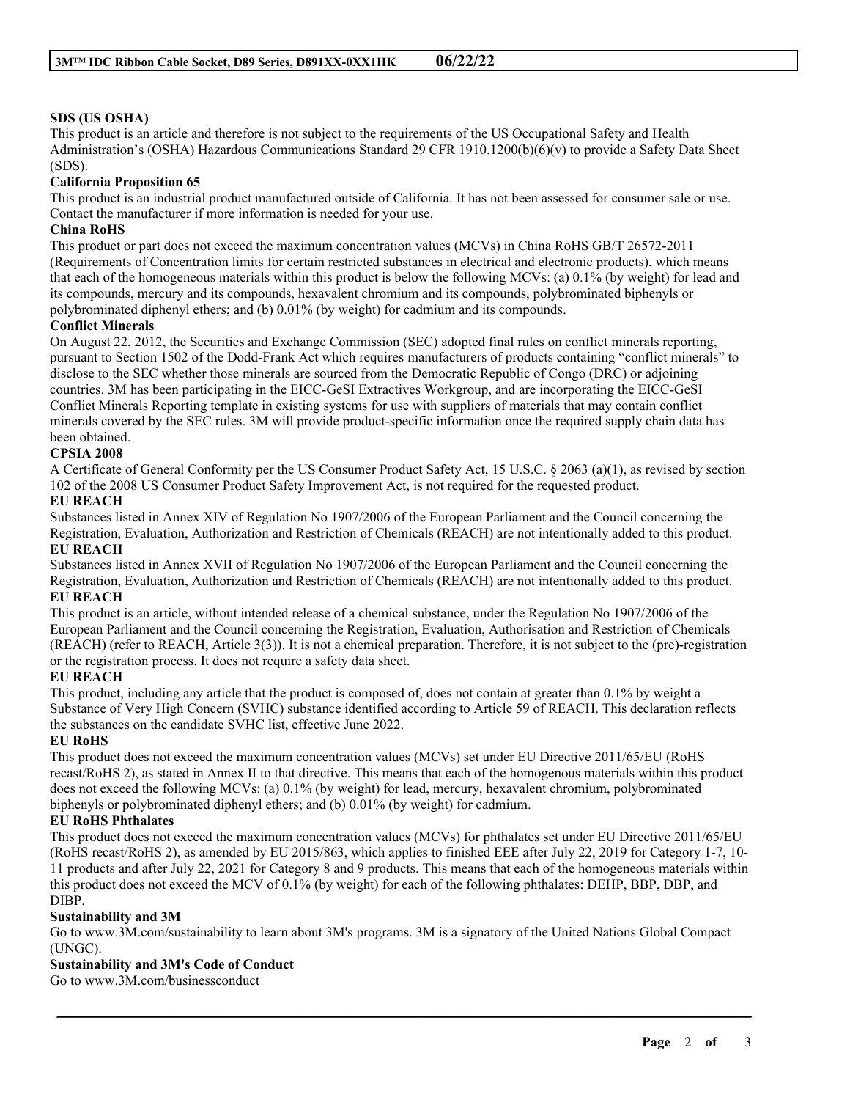### **SDS (US OSHA)**

This product is an article and therefore is not subject to the requirements of the US Occupational Safety and Health Administration's (OSHA) Hazardous Communications Standard 29 CFR 1910.1200(b)(6)(v) to provide a Safety Data Sheet (SDS).

#### **California Proposition 65**

This product is an industrial product manufactured outside of California. It has not been assessed for consumer sale or use. Contact the manufacturer if more information is needed for your use.

#### **China RoHS**

This product or part does not exceed the maximum concentration values (MCVs) in China RoHS GB/T 26572-2011 (Requirements of Concentration limits for certain restricted substances in electrical and electronic products), which means that each of the homogeneous materials within this product is below the following MCVs: (a) 0.1% (by weight) for lead and its compounds, mercury and its compounds, hexavalent chromium and its compounds, polybrominated biphenyls or polybrominated diphenyl ethers; and (b) 0.01% (by weight) for cadmium and its compounds.

#### **Conflict Minerals**

On August 22, 2012, the Securities and Exchange Commission (SEC) adopted final rules on conflict minerals reporting, pursuant to Section 1502 of the Dodd-Frank Act which requires manufacturers of products containing "conflict minerals" to disclose to the SEC whether those minerals are sourced from the Democratic Republic of Congo (DRC) or adjoining countries. 3M has been participating in the EICC-GeSI Extractives Workgroup, and are incorporating the EICC-GeSI Conflict Minerals Reporting template in existing systems for use with suppliers of materials that may contain conflict minerals covered by the SEC rules. 3M will provide product-specific information once the required supply chain data has been obtained.

#### **CPSIA 2008**

A Certificate of General Conformity per the US Consumer Product Safety Act, 15 U.S.C. § 2063 (a)(1), as revised by section 102 of the 2008 US Consumer Product Safety Improvement Act, is not required for the requested product.

#### **EU REACH**

Substances listed in Annex XIV of Regulation No 1907/2006 of the European Parliament and the Council concerning the Registration, Evaluation, Authorization and Restriction of Chemicals (REACH) are not intentionally added to this product. **EU REACH**

Substances listed in Annex XVII of Regulation No 1907/2006 of the European Parliament and the Council concerning the Registration, Evaluation, Authorization and Restriction of Chemicals (REACH) are not intentionally added to this product. **EU REACH**

This product is an article, without intended release of a chemical substance, under the Regulation No 1907/2006 of the European Parliament and the Council concerning the Registration, Evaluation, Authorisation and Restriction of Chemicals (REACH) (refer to REACH, Article 3(3)). It is not a chemical preparation. Therefore, it is not subject to the (pre)-registration or the registration process. It does not require a safety data sheet.

#### **EU REACH**

This product, including any article that the product is composed of, does not contain at greater than 0.1% by weight a Substance of Very High Concern (SVHC) substance identified according to Article 59 of REACH. This declaration reflects the substances on the candidate SVHC list, effective June 2022.

#### **EU RoHS**

This product does not exceed the maximum concentration values (MCVs) set under EU Directive 2011/65/EU (RoHS recast/RoHS 2), as stated in Annex II to that directive. This means that each of the homogenous materials within this product does not exceed the following MCVs: (a) 0.1% (by weight) for lead, mercury, hexavalent chromium, polybrominated biphenyls or polybrominated diphenyl ethers; and (b) 0.01% (by weight) for cadmium.

#### **EU RoHS Phthalates**

This product does not exceed the maximum concentration values (MCVs) for phthalates set under EU Directive 2011/65/EU (RoHS recast/RoHS 2), as amended by EU 2015/863, which applies to finished EEE after July 22, 2019 for Category 1-7, 10- 11 products and after July 22, 2021 for Category 8 and 9 products. This means that each of the homogeneous materials within this product does not exceed the MCV of 0.1% (by weight) for each of the following phthalates: DEHP, BBP, DBP, and DIBP.

#### **Sustainability and 3M**

Go to www.3M.com/sustainability to learn about 3M's programs. 3M is a signatory of the United Nations Global Compact (UNGC).

\_\_\_\_\_\_\_\_\_\_\_\_\_\_\_\_\_\_\_\_\_\_\_\_\_\_\_\_\_\_\_\_\_\_\_\_\_\_\_\_\_\_\_\_\_\_\_\_\_\_\_\_\_\_\_\_\_\_\_\_\_\_\_\_\_\_\_\_\_\_\_\_\_\_\_\_\_\_\_\_\_\_\_\_\_\_\_\_\_\_

## **Sustainability and 3M's Code of Conduct**

Go to www.3M.com/businessconduct